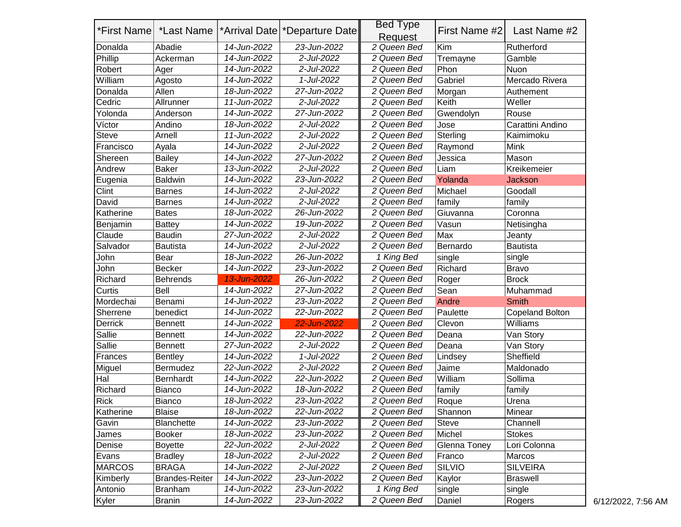| *First Name   | *Last Name            |             | *Arrival Date   *Departure Date | <b>Bed Type</b><br>Request | First Name #2 | Last Name #2     |
|---------------|-----------------------|-------------|---------------------------------|----------------------------|---------------|------------------|
| Donalda       | Abadie                | 14-Jun-2022 | 23-Jun-2022                     | 2 Queen Bed                | Kim           | Rutherford       |
| Phillip       | Ackerman              | 14-Jun-2022 | 2-Jul-2022                      | 2 Queen Bed                | Tremayne      | Gamble           |
| Robert        | Ager                  | 14-Jun-2022 | 2-Jul-2022                      | 2 Queen Bed                | Phon          | <b>Nuon</b>      |
| William       | Agosto                | 14-Jun-2022 | 1-Jul-2022                      | 2 Queen Bed                | Gabriel       | Mercado Rivera   |
| Donalda       | Allen                 | 18-Jun-2022 | 27-Jun-2022                     | 2 Queen Bed                | Morgan        | Authement        |
| Cedric        | Allrunner             | 11-Jun-2022 | 2-Jul-2022                      | 2 Queen Bed                | Keith         | Weller           |
| Yolonda       | Anderson              | 14-Jun-2022 | 27-Jun-2022                     | 2 Queen Bed                | Gwendolyn     | Rouse            |
| Víctor        | Andino                | 18-Jun-2022 | 2-Jul-2022                      | 2 Queen Bed                | Jose          | Carattini Andino |
| Steve         | Arnell                | 11-Jun-2022 | 2-Jul-2022                      | 2 Queen Bed                | Sterling      | Kaimimoku        |
| Francisco     | Ayala                 | 14-Jun-2022 | 2-Jul-2022                      | 2 Queen Bed                | Raymond       | Mink             |
| Shereen       | <b>Bailey</b>         | 14-Jun-2022 | 27-Jun-2022                     | 2 Queen Bed                | Jessica       | Mason            |
| Andrew        | <b>Baker</b>          | 13-Jun-2022 | 2-Jul-2022                      | 2 Queen Bed                | Liam          | Kreikemeier      |
| Eugenia       | <b>Baldwin</b>        | 14-Jun-2022 | 23-Jun-2022                     | 2 Queen Bed                | Yolanda       | <b>Jackson</b>   |
| Clint         | <b>Barnes</b>         | 14-Jun-2022 | 2-Jul-2022                      | 2 Queen Bed                | Michael       | Goodall          |
| David         | <b>Barnes</b>         | 14-Jun-2022 | 2-Jul-2022                      | 2 Queen Bed                | family        | family           |
| Katherine     | <b>Bates</b>          | 18-Jun-2022 | 26-Jun-2022                     | 2 Queen Bed                | Giuvanna      | Coronna          |
| Benjamin      | <b>Battey</b>         | 14-Jun-2022 | 19-Jun-2022                     | 2 Queen Bed                | Vasun         | Netisingha       |
| Claude        | <b>Baudin</b>         | 27-Jun-2022 | 2-Jul-2022                      | 2 Queen Bed                | Max           | Jeanty           |
| Salvador      | <b>Bautista</b>       | 14-Jun-2022 | 2-Jul-2022                      | 2 Queen Bed                | Bernardo      | <b>Bautista</b>  |
| John          | Bear                  | 18-Jun-2022 | 26-Jun-2022                     | 1 King Bed                 | single        | single           |
| John          | <b>Becker</b>         | 14-Jun-2022 | 23-Jun-2022                     | 2 Queen Bed                | Richard       | <b>Bravo</b>     |
| Richard       | <b>Behrends</b>       | 13-Jun-2022 | 26-Jun-2022                     | 2 Queen Bed                | Roger         | <b>Brock</b>     |
| Curtis        | Bell                  | 14-Jun-2022 | 27-Jun-2022                     | 2 Queen Bed                | Sean          | Muhammad         |
| Mordechai     | Benami                | 14-Jun-2022 | 23-Jun-2022                     | 2 Queen Bed                | Andre         | <b>Smith</b>     |
| Sherrene      | benedict              | 14-Jun-2022 | 22-Jun-2022                     | 2 Queen Bed                | Paulette      | Copeland Bolton  |
| Derrick       | <b>Bennett</b>        | 14-Jun-2022 | 22-Jun-2022                     | 2 Queen Bed                | Clevon        | Williams         |
| Sallie        | <b>Bennett</b>        | 14-Jun-2022 | 22-Jun-2022                     | 2 Queen Bed                | Deana         | Van Story        |
| Sallie        | <b>Bennett</b>        | 27-Jun-2022 | 2-Jul-2022                      | 2 Queen Bed                | Deana         | Van Story        |
| Frances       | <b>Bentley</b>        | 14-Jun-2022 | 1-Jul-2022                      | 2 Queen Bed                | Lindsey       | Sheffield        |
| Miguel        | Bermudez              | 22-Jun-2022 | 2-Jul-2022                      | 2 Queen Bed                | Jaime         | Maldonado        |
| Hal           | Bernhardt             | 14-Jun-2022 | 22-Jun-2022                     | 2 Queen Bed                | William       | Sollima          |
| Richard       | <b>Bianco</b>         | 14-Jun-2022 | 18-Jun-2022                     | 2 Queen Bed                | family        | family           |
| <b>Rick</b>   | Bianco                | 18-Jun-2022 | 23-Jun-2022                     | 2 Queen Bed                | Roque         | Urena            |
| Katherine     | <b>Blaise</b>         | 18-Jun-2022 | 22-Jun-2022                     | 2 Queen Bed                | Shannon       | Minear           |
| Gavin         | <b>Blanchette</b>     | 14-Jun-2022 | 23-Jun-2022                     | 2 Queen Bed                | <b>Steve</b>  | Channell         |
| James         | <b>Booker</b>         | 18-Jun-2022 | 23-Jun-2022                     | 2 Queen Bed                | Michel        | <b>Stokes</b>    |
| Denise        | <b>Boyette</b>        | 22-Jun-2022 | 2-Jul-2022                      | 2 Queen Bed                | Glenna Toney  | Lori Colonna     |
| Evans         | <b>Bradley</b>        | 18-Jun-2022 | 2-Jul-2022                      | 2 Queen Bed                | Franco        | Marcos           |
| <b>MARCOS</b> | <b>BRAGA</b>          | 14-Jun-2022 | 2-Jul-2022                      | 2 Queen Bed                | <b>SILVIO</b> | <b>SILVEIRA</b>  |
| Kimberly      | <b>Brandes-Reiter</b> | 14-Jun-2022 | 23-Jun-2022                     | 2 Queen Bed                | Kaylor        | <b>Braswell</b>  |
| Antonio       | <b>Branham</b>        | 14-Jun-2022 | 23-Jun-2022                     | 1 King Bed                 | single        | single           |
| Kyler         | <b>Branin</b>         | 14-Jun-2022 | 23-Jun-2022                     | 2 Queen Bed                | Daniel        | Rogers           |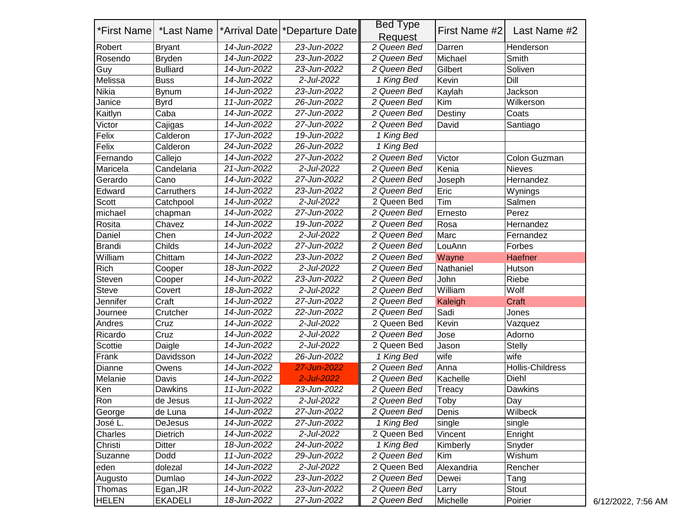|               |                 |             |                                                       | <b>Bed Type</b> |                             |                  |
|---------------|-----------------|-------------|-------------------------------------------------------|-----------------|-----------------------------|------------------|
| *First Name   | *Last Name      |             | <sup>*</sup> Arrival Date <sup>*</sup> Departure Date | Request         | First Name #2               | Last Name #2     |
| Robert        | <b>Bryant</b>   | 14-Jun-2022 | 23-Jun-2022                                           | 2 Queen Bed     | Darren                      | Henderson        |
| Rosendo       | <b>Bryden</b>   | 14-Jun-2022 | 23-Jun-2022                                           | 2 Queen Bed     | Michael                     | Smith            |
| Guy           | <b>Bulliard</b> | 14-Jun-2022 | 23-Jun-2022                                           | 2 Queen Bed     | Gilbert                     | Soliven          |
| Melissa       | <b>Buss</b>     | 14-Jun-2022 | 2-Jul-2022                                            | 1 King Bed      | Kevin                       | Dill             |
| <b>Nikia</b>  | <b>Bynum</b>    | 14-Jun-2022 | 23-Jun-2022                                           | 2 Queen Bed     | Kaylah                      | Jackson          |
| Janice        | <b>Byrd</b>     | 11-Jun-2022 | 26-Jun-2022                                           | 2 Queen Bed     | Kim                         | Wilkerson        |
| Kaitlyn       | Caba            | 14-Jun-2022 | 27-Jun-2022                                           | 2 Queen Bed     | Destiny                     | Coats            |
| Victor        | Cajigas         | 14-Jun-2022 | 27-Jun-2022                                           | 2 Queen Bed     | David                       | Santiago         |
| Felix         | Calderon        | 17-Jun-2022 | 19-Jun-2022                                           | 1 King Bed      |                             |                  |
| Felix         | Calderon        | 24-Jun-2022 | 26-Jun-2022                                           | 1 King Bed      |                             |                  |
| Fernando      | Callejo         | 14-Jun-2022 | 27-Jun-2022                                           | 2 Queen Bed     | Victor                      | Colon Guzman     |
| Maricela      | Candelaria      | 21-Jun-2022 | 2-Jul-2022                                            | 2 Queen Bed     | Kenia                       | <b>Nieves</b>    |
| Gerardo       | Cano            | 14-Jun-2022 | 27-Jun-2022                                           | 2 Queen Bed     | Joseph                      | Hernandez        |
| Edward        | Carruthers      | 14-Jun-2022 | 23-Jun-2022                                           | 2 Queen Bed     | Eric                        | Wynings          |
| <b>Scott</b>  | Catchpool       | 14-Jun-2022 | 2-Jul-2022                                            | 2 Queen Bed     | Tim                         | Salmen           |
| michael       | chapman         | 14-Jun-2022 | 27-Jun-2022                                           | 2 Queen Bed     | Ernesto                     | Perez            |
| Rosita        | Chavez          | 14-Jun-2022 | 19-Jun-2022                                           | 2 Queen Bed     | Rosa                        | Hernandez        |
| Daniel        | Chen            | 14-Jun-2022 | 2-Jul-2022                                            | 2 Queen Bed     | Marc                        | Fernandez        |
| <b>Brandi</b> | Childs          | 14-Jun-2022 | 27-Jun-2022                                           | 2 Queen Bed     | LouAnn                      | Forbes           |
| William       | Chittam         | 14-Jun-2022 | 23-Jun-2022                                           | 2 Queen Bed     | Wayne                       | <b>Haefner</b>   |
| <b>Rich</b>   | Cooper          | 18-Jun-2022 | 2-Jul-2022                                            | 2 Queen Bed     | Nathaniel                   | Hutson           |
| Steven        | Cooper          | 14-Jun-2022 | 23-Jun-2022                                           | 2 Queen Bed     | John                        | Riebe            |
| <b>Steve</b>  | Covert          | 18-Jun-2022 | 2-Jul-2022                                            | 2 Queen Bed     | William                     | Wolf             |
| Jennifer      | Craft           | 14-Jun-2022 | 27-Jun-2022                                           | 2 Queen Bed     | Kaleigh                     | <b>Craft</b>     |
| Journee       | Crutcher        | 14-Jun-2022 | 22-Jun-2022                                           | 2 Queen Bed     | Sadi                        | Jones            |
| Andres        | Cruz            | 14-Jun-2022 | 2-Jul-2022                                            | 2 Queen Bed     | Kevin                       | Vazquez          |
| Ricardo       | Cruz            | 14-Jun-2022 | 2-Jul-2022                                            | 2 Queen Bed     | Jose                        | Adorno           |
| Scottie       | Daigle          | 14-Jun-2022 | 2-Jul-2022                                            | 2 Queen Bed     | Jason                       | <b>Stelly</b>    |
| Frank         | Davidsson       | 14-Jun-2022 | 26-Jun-2022                                           | 1 King Bed      | wife                        | wife             |
| Dianne        | Owens           | 14-Jun-2022 | 27-Jun-2022                                           | 2 Queen Bed     | Anna                        | Hollis-Childress |
| Melanie       | Davis           | 14-Jun-2022 | 2-Jul-2022                                            | 2 Queen Bed     | Kachelle                    | Diehl            |
| Ken           | Dawkins         | 11-Jun-2022 | 23-Jun-2022                                           | 2 Queen Bed     | Treacy                      | Dawkins          |
| Ron           | de Jesus        | 11-Jun-2022 | 2-Jul-2022                                            | 2 Queen Bed     | $\overline{\mathsf{T}}$ oby | Day              |
| George        | de Luna         | 14-Jun-2022 | 27-Jun-2022                                           | 2 Queen Bed     | Denis                       | Wilbeck          |
| José L.       | DeJesus         | 14-Jun-2022 | 27-Jun-2022                                           | 1 King Bed      | single                      | single           |
| Charles       | Dietrich        | 14-Jun-2022 | 2-Jul-2022                                            | 2 Queen Bed     | Vincent                     | Enright          |
| Christi       | <b>Ditter</b>   | 18-Jun-2022 | 24-Jun-2022                                           | 1 King Bed      | Kimberly                    | Snyder           |
| Suzanne       | Dodd            | 11-Jun-2022 | 29-Jun-2022                                           | 2 Queen Bed     | Kim                         | Wishum           |
| eden          | dolezal         | 14-Jun-2022 | 2-Jul-2022                                            | 2 Queen Bed     | Alexandria                  | Rencher          |
| Augusto       | Dumlao          | 14-Jun-2022 | 23-Jun-2022                                           | 2 Queen Bed     | Dewei                       | Tang             |
| Thomas        | Egan, JR        | 14-Jun-2022 | 23-Jun-2022                                           | 2 Queen Bed     | Larry                       | Stout            |
| <b>HELEN</b>  | <b>EKADELI</b>  | 18-Jun-2022 | 27-Jun-2022                                           | 2 Queen Bed     | Michelle                    | Poirier          |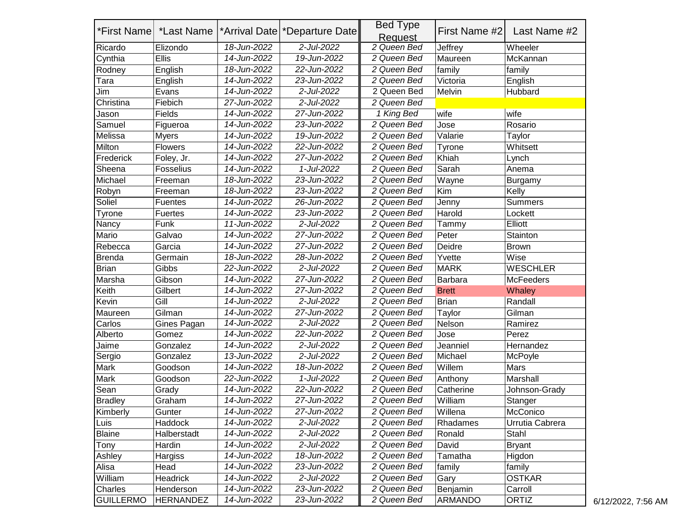|                  | *First Name   *Last Name |             | <sup>*</sup> Arrival Date <sup>*</sup> Departure Date | <b>Bed Type</b><br>Request | First Name #2 | Last Name #2     |
|------------------|--------------------------|-------------|-------------------------------------------------------|----------------------------|---------------|------------------|
| Ricardo          | Elizondo                 | 18-Jun-2022 | 2-Jul-2022                                            | 2 Queen Bed                | Jeffrey       | Wheeler          |
| Cynthia          | Ellis                    | 14-Jun-2022 | 19-Jun-2022                                           | 2 Queen Bed                | Maureen       | McKannan         |
| Rodney           | English                  | 18-Jun-2022 | 22-Jun-2022                                           | 2 Queen Bed                | family        | family           |
| Tara             | English                  | 14-Jun-2022 | 23-Jun-2022                                           | 2 Queen Bed                | Victoria      | English          |
| Jim              | Evans                    | 14-Jun-2022 | 2-Jul-2022                                            | 2 Queen Bed                | Melvin        | Hubbard          |
| Christina        | Fiebich                  | 27-Jun-2022 | 2-Jul-2022                                            | 2 Queen Bed                |               |                  |
| Jason            | Fields                   | 14-Jun-2022 | 27-Jun-2022                                           | 1 King Bed                 | wife          | wife             |
| Samuel           | Figueroa                 | 14-Jun-2022 | 23-Jun-2022                                           | 2 Queen Bed                | Jose          | Rosario          |
| Melissa          | <b>Myers</b>             | 14-Jun-2022 | 19-Jun-2022                                           | 2 Queen Bed                | Valarie       | Taylor           |
| Milton           | <b>Flowers</b>           | 14-Jun-2022 | 22-Jun-2022                                           | 2 Queen Bed                | Tyrone        | Whitsett         |
| Frederick        | Foley, Jr.               | 14-Jun-2022 | 27-Jun-2022                                           | 2 Queen Bed                | Khiah         | Lynch            |
| Sheena           | <b>Fosselius</b>         | 14-Jun-2022 | 1-Jul-2022                                            | 2 Queen Bed                | Sarah         | Anema            |
| Michael          | Freeman                  | 18-Jun-2022 | 23-Jun-2022                                           | 2 Queen Bed                | Wayne         | Burgamy          |
| Robyn            | Freeman                  | 18-Jun-2022 | 23-Jun-2022                                           | 2 Queen Bed                | Kim           | Kelly            |
| Soliel           | Fuentes                  | 14-Jun-2022 | 26-Jun-2022                                           | 2 Queen Bed                | Jenny         | Summers          |
| Tyrone           | <b>Fuertes</b>           | 14-Jun-2022 | 23-Jun-2022                                           | 2 Queen Bed                | Harold        | Lockett          |
| Nancy            | Funk                     | 11-Jun-2022 | 2-Jul-2022                                            | 2 Queen Bed                | Tammy         | Elliott          |
| Mario            | Galvao                   | 14-Jun-2022 | 27-Jun-2022                                           | 2 Queen Bed                | Peter         | Stainton         |
| Rebecca          | Garcia                   | 14-Jun-2022 | 27-Jun-2022                                           | 2 Queen Bed                | Deidre        | Brown            |
| <b>Brenda</b>    | Germain                  | 18-Jun-2022 | 28-Jun-2022                                           | 2 Queen Bed                | Yvette        | Wise             |
| <b>Brian</b>     | Gibbs                    | 22-Jun-2022 | 2-Jul-2022                                            | 2 Queen Bed                | <b>MARK</b>   | <b>WESCHLER</b>  |
| Marsha           | Gibson                   | 14-Jun-2022 | 27-Jun-2022                                           | 2 Queen Bed                | Barbara       | <b>McFeeders</b> |
| Keith            | Gilbert                  | 14-Jun-2022 | 27-Jun-2022                                           | 2 Queen Bed                | <b>Brett</b>  | Whaley           |
| Kevin            | Gill                     | 14-Jun-2022 | 2-Jul-2022                                            | 2 Queen Bed                | <b>Brian</b>  | Randall          |
| Maureen          | Gilman                   | 14-Jun-2022 | 27-Jun-2022                                           | 2 Queen Bed                | Taylor        | Gilman           |
| Carlos           | Gines Pagan              | 14-Jun-2022 | 2-Jul-2022                                            | 2 Queen Bed                | Nelson        | Ramirez          |
| Alberto          | Gomez                    | 14-Jun-2022 | 22-Jun-2022                                           | 2 Queen Bed                | Jose          | Perez            |
| Jaime            | Gonzalez                 | 14-Jun-2022 | 2-Jul-2022                                            | 2 Queen Bed                | Jeanniel      | Hernandez        |
| Sergio           | Gonzalez                 | 13-Jun-2022 | 2-Jul-2022                                            | 2 Queen Bed                | Michael       | McPoyle          |
| Mark             | Goodson                  | 14-Jun-2022 | 18-Jun-2022                                           | 2 Queen Bed                | Willem        | Mars             |
| Mark             | Goodson                  | 22-Jun-2022 | 1-Jul-2022                                            | 2 Queen Bed                | Anthony       | Marshall         |
| Sean             | Grady                    | 14-Jun-2022 | 22-Jun-2022                                           | 2 Queen Bed                | Catherine     | Johnson-Grady    |
| <b>Bradley</b>   | Graham                   | 14-Jun-2022 | 27-Jun-2022                                           | 2 Queen Bed                | William       | Stanger          |
| Kimberly         | Gunter                   | 14-Jun-2022 | 27-Jun-2022                                           | 2 Queen Bed                | Willena       | McConico         |
| Luis             | Haddock                  | 14-Jun-2022 | 2-Jul-2022                                            | 2 Queen Bed                | Rhadames      | Urrutia Cabrera  |
| Blaine           | Halberstadt              | 14-Jun-2022 | 2-Jul-2022                                            | 2 Queen Bed                | Ronald        | Stahl            |
| Tony             | Hardin                   | 14-Jun-2022 | 2-Jul-2022                                            | 2 Queen Bed                | David         | <b>Bryant</b>    |
| Ashley           | Hargiss                  | 14-Jun-2022 | 18-Jun-2022                                           | 2 Queen Bed                | Tamatha       | Higdon           |
| Alisa            | Head                     | 14-Jun-2022 | 23-Jun-2022                                           | 2 Queen Bed                | family        | family           |
| William          | Headrick                 | 14-Jun-2022 | 2-Jul-2022                                            | 2 Queen Bed                | Gary          | <b>OSTKAR</b>    |
| Charles          | Henderson                | 14-Jun-2022 | 23-Jun-2022                                           | 2 Queen Bed                | Benjamin      | Carroll          |
| <b>GUILLERMO</b> | <b>HERNANDEZ</b>         | 14-Jun-2022 | 23-Jun-2022                                           | 2 Queen Bed                | ARMANDO       | ORTIZ            |

 $6/12/2022$ , 7:56 AM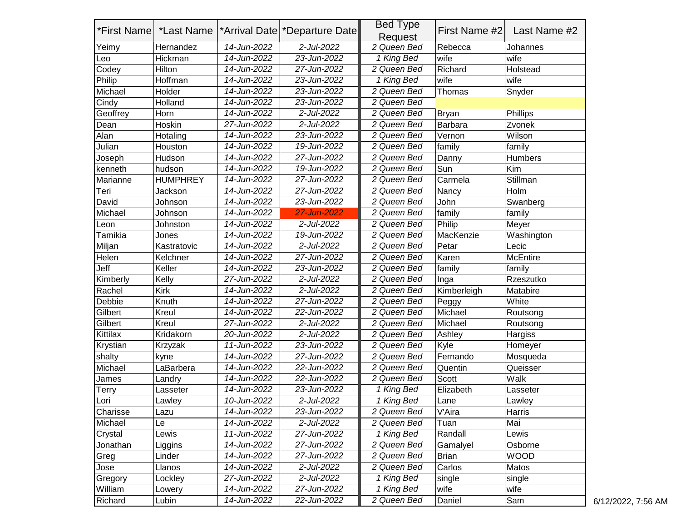|          | *First Name   *Last Name |             | <sup>*</sup> Arrival Date <sup>*</sup> Departure Date | <b>Bed Type</b>         | First Name #2 | Last Name #2    |
|----------|--------------------------|-------------|-------------------------------------------------------|-------------------------|---------------|-----------------|
|          |                          |             |                                                       | Request                 |               |                 |
| Yeimy    | Hernandez                | 14-Jun-2022 | 2-Jul-2022                                            | 2 Queen Bed             | Rebecca       | Johannes        |
| Leo      | Hickman                  | 14-Jun-2022 | 23-Jun-2022                                           | 1 King Bed              | wife          | wife            |
| Codey    | Hilton                   | 14-Jun-2022 | 27-Jun-2022                                           | 2 Queen Bed             | Richard       | Holstead        |
| Philip   | Hoffman                  | 14-Jun-2022 | 23-Jun-2022                                           | 1 King Bed              | wife          | wife            |
| Michael  | Holder                   | 14-Jun-2022 | 23-Jun-2022                                           | 2 Queen Bed             | Thomas        | Snyder          |
| Cindy    | Holland                  | 14-Jun-2022 | 23-Jun-2022                                           | 2 Queen Bed             |               |                 |
| Geoffrey | Horn                     | 14-Jun-2022 | 2-Jul-2022                                            | 2 Queen Bed             | <b>Bryan</b>  | Phillips        |
| Dean     | Hoskin                   | 27-Jun-2022 | 2-Jul-2022                                            | 2 Queen Bed             | Barbara       | Zvonek          |
| Alan     | Hotaling                 | 14-Jun-2022 | 23-Jun-2022                                           | 2 Queen Bed             | Vernon        | Wilson          |
| Julian   | Houston                  | 14-Jun-2022 | 19-Jun-2022                                           | 2 Queen Bed             | family        | family          |
| Joseph   | Hudson                   | 14-Jun-2022 | 27-Jun-2022                                           | 2 Queen Bed             | Danny         | <b>Humbers</b>  |
| kenneth  | hudson                   | 14-Jun-2022 | 19-Jun-2022                                           | 2 Queen Bed             | Sun           | Kim             |
| Marianne | <b>HUMPHREY</b>          | 14-Jun-2022 | 27-Jun-2022                                           | 2 Queen Bed             | Carmela       | Stillman        |
| Teri     | Jackson                  | 14-Jun-2022 | 27-Jun-2022                                           | 2 Queen Bed             | Nancy         | Holm            |
| David    | Johnson                  | 14-Jun-2022 | 23-Jun-2022                                           | 2 Queen Bed             | John          | Swanberg        |
| Michael  | Johnson                  | 14-Jun-2022 | 27-Jun-2022                                           | 2 Queen Bed             | family        | family          |
| Leon     | Johnston                 | 14-Jun-2022 | 2-Jul-2022                                            | 2 Queen Bed             | Philip        | Meyer           |
| Tamikia  | Jones                    | 14-Jun-2022 | 19-Jun-2022                                           | 2 Queen Bed             | MacKenzie     | Washington      |
| Miljan   | Kastratovic              | 14-Jun-2022 | 2-Jul-2022                                            | 2 Queen Bed             | Petar         | Lecic           |
| Helen    | Kelchner                 | 14-Jun-2022 | 27-Jun-2022                                           | 2 Queen Bed             | Karen         | <b>McEntire</b> |
| Jeff     | Keller                   | 14-Jun-2022 | 23-Jun-2022                                           | 2 Queen Bed             | family        | family          |
| Kimberly | Kelly                    | 27-Jun-2022 | 2-Jul-2022                                            | 2 Queen Bed             | Inga          | Rzeszutko       |
| Rachel   | <b>Kirk</b>              | 14-Jun-2022 | 2-Jul-2022                                            | 2 Queen Bed             | Kimberleigh   | Matabire        |
| Debbie   | Knuth                    | 14-Jun-2022 | 27-Jun-2022                                           | 2 Queen Bed             | Peggy         | White           |
| Gilbert  | Kreul                    | 14-Jun-2022 | 22-Jun-2022                                           | 2 Queen Bed             | Michael       | Routsong        |
| Gilbert  | Kreul                    | 27-Jun-2022 | 2-Jul-2022                                            | 2 Queen Bed             | Michael       | Routsong        |
| Kittilax | Kridakorn                | 20-Jun-2022 | 2-Jul-2022                                            | 2 Queen Bed             | Ashley        | Hargiss         |
| Krystian | Krzyzak                  | 11-Jun-2022 | 23-Jun-2022                                           | 2 Queen Bed             | Kyle          | Homeyer         |
| shalty   | kyne                     | 14-Jun-2022 | 27-Jun-2022                                           | 2 Queen Bed             | Fernando      | Mosqueda        |
| Michael  | LaBarbera                | 14-Jun-2022 | 22-Jun-2022                                           | 2 Queen Bed             | Quentin       | Queisser        |
| James    | Landry                   | 14-Jun-2022 | 22-Jun-2022                                           | 2 Queen Bed             | Scott         | Walk            |
| Terry    | Lasseter                 | 14-Jun-2022 | 23-Jun-2022                                           | $\overline{1}$ King Bed | Elizabeth     | Lasseter        |
| Lori     | Lawley                   | 10-Jun-2022 | 2-Jul-2022                                            | 1 King Bed              | Lane          | Lawley          |
| Charisse | Lazu                     | 14-Jun-2022 | 23-Jun-2022                                           | 2 Queen Bed             | V'Aira        | Harris          |
| Michael  | Le                       | 14-Jun-2022 | 2-Jul-2022                                            | 2 Queen Bed             | Tuan          | Mai             |
| Crystal  | Lewis                    | 11-Jun-2022 | 27-Jun-2022                                           | 1 King Bed              | Randall       | Lewis           |
| Jonathan | Liggins                  | 14-Jun-2022 | 27-Jun-2022                                           | 2 Queen Bed             | Gamalyel      | Osborne         |
| Greg     | Linder                   | 14-Jun-2022 | 27-Jun-2022                                           | 2 Queen Bed             | <b>Brian</b>  | <b>WOOD</b>     |
| Jose     | Llanos                   | 14-Jun-2022 | 2-Jul-2022                                            | 2 Queen Bed             | Carlos        | Matos           |
| Gregory  | Lockley                  | 27-Jun-2022 | 2-Jul-2022                                            | 1 King Bed              | single        | single          |
| William  | Lowery                   | 14-Jun-2022 | 27-Jun-2022                                           | 1 King Bed              | wife          | wife            |
| Richard  | Lubin                    | 14-Jun-2022 | 22-Jun-2022                                           | 2 Queen Bed             | Daniel        | Sam             |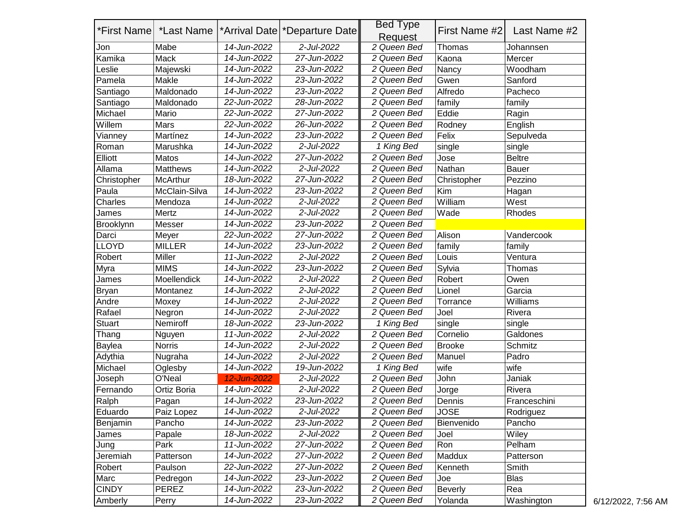|               | *First Name   *Last Name |             | <sup>*</sup> Arrival Date   *Departure Date | <b>Bed Type</b><br>Request | First Name #2  | Last Name #2  |
|---------------|--------------------------|-------------|---------------------------------------------|----------------------------|----------------|---------------|
| Jon           | Mabe                     | 14-Jun-2022 | 2-Jul-2022                                  | 2 Queen Bed                | Thomas         | Johannsen     |
| Kamika        | Mack                     | 14-Jun-2022 | 27-Jun-2022                                 | 2 Queen Bed                | Kaona          | Mercer        |
| eslie         | Majewski                 | 14-Jun-2022 | 23-Jun-2022                                 | 2 Queen Bed                | Nancy          | Woodham       |
| Pamela        | Makle                    | 14-Jun-2022 | 23-Jun-2022                                 | 2 Queen Bed                | Gwen           | Sanford       |
| Santiago      | Maldonado                | 14-Jun-2022 | 23-Jun-2022                                 | 2 Queen Bed                | Alfredo        | Pacheco       |
| Santiago      | Maldonado                | 22-Jun-2022 | 28-Jun-2022                                 | 2 Queen Bed                | family         | family        |
| Michael       | Mario                    | 22-Jun-2022 | 27-Jun-2022                                 | 2 Queen Bed                | Eddie          | Ragin         |
| Willem        | Mars                     | 22-Jun-2022 | 26-Jun-2022                                 | 2 Queen Bed                | Rodney         | English       |
| Vianney       | Martínez                 | 14-Jun-2022 | 23-Jun-2022                                 | 2 Queen Bed                | Felix          | Sepulveda     |
| Roman         | Marushka                 | 14-Jun-2022 | 2-Jul-2022                                  | 1 King Bed                 | single         | single        |
| Elliott       | Matos                    | 14-Jun-2022 | 27-Jun-2022                                 | 2 Queen Bed                | Jose           | <b>Beltre</b> |
| Allama        | <b>Matthews</b>          | 14-Jun-2022 | 2-Jul-2022                                  | 2 Queen Bed                | Nathan         | <b>Bauer</b>  |
| Christopher   | <b>McArthur</b>          | 18-Jun-2022 | 27-Jun-2022                                 | 2 Queen Bed                | Christopher    | Pezzino       |
| Paula         | McClain-Silva            | 14-Jun-2022 | 23-Jun-2022                                 | 2 Queen Bed                | Kim            | Hagan         |
| Charles       | Mendoza                  | 14-Jun-2022 | 2-Jul-2022                                  | 2 Queen Bed                | William        | West          |
| James         | Mertz                    | 14-Jun-2022 | 2-Jul-2022                                  | 2 Queen Bed                | Wade           | Rhodes        |
| Brooklynn     | Messer                   | 14-Jun-2022 | 23-Jun-2022                                 | 2 Queen Bed                |                |               |
| Darci         | Meyer                    | 22-Jun-2022 | 27-Jun-2022                                 | 2 Queen Bed                | Alison         | Vandercook    |
| <b>LLOYD</b>  | <b>MILLER</b>            | 14-Jun-2022 | 23-Jun-2022                                 | 2 Queen Bed                | family         | family        |
| Robert        | Miller                   | 11-Jun-2022 | 2-Jul-2022                                  | 2 Queen Bed                | Louis          | Ventura       |
| Myra          | <b>MIMS</b>              | 14-Jun-2022 | 23-Jun-2022                                 | 2 Queen Bed                | Sylvia         | Thomas        |
| James         | Moellendick              | 14-Jun-2022 | 2-Jul-2022                                  | 2 Queen Bed                | Robert         | Owen          |
| <b>Bryan</b>  | Montanez                 | 14-Jun-2022 | 2-Jul-2022                                  | 2 Queen Bed                | Lionel         | Garcia        |
| Andre         | Moxey                    | 14-Jun-2022 | 2-Jul-2022                                  | 2 Queen Bed                | Torrance       | Williams      |
| Rafael        | Negron                   | 14-Jun-2022 | 2-Jul-2022                                  | 2 Queen Bed                | Joel           | Rivera        |
| <b>Stuart</b> | Nemiroff                 | 18-Jun-2022 | 23-Jun-2022                                 | 1 King Bed                 | single         | single        |
| Thang         | Nguyen                   | 11-Jun-2022 | 2-Jul-2022                                  | 2 Queen Bed                | Cornelio       | Galdones      |
| Baylea        | <b>Norris</b>            | 14-Jun-2022 | 2-Jul-2022                                  | 2 Queen Bed                | <b>Brooke</b>  | Schmitz       |
| Adythia       | Nugraha                  | 14-Jun-2022 | 2-Jul-2022                                  | 2 Queen Bed                | Manuel         | Padro         |
| Michael       | Oglesby                  | 14-Jun-2022 | 19-Jun-2022                                 | 1 King Bed                 | wife           | wife          |
| Joseph        | O'Neal                   | 12-Jun-2022 | 2-Jul-2022                                  | 2 Queen Bed                | John           | Janiak        |
| Fernando      | Ortiz Boria              | 14-Jun-2022 | 2-Jul-2022                                  | 2 Queen Bed                | Jorge          | Rivera        |
| Ralph         | Pagan                    | 14-Jun-2022 | 23-Jun-2022                                 | 2 Queen Bed                | Dennis         | Franceschini  |
| Eduardo       | Paiz Lopez               | 14-Jun-2022 | 2-Jul-2022                                  | 2 Queen Bed                | <b>JOSE</b>    | Rodriguez     |
| Benjamin      | Pancho                   | 14-Jun-2022 | 23-Jun-2022                                 | 2 Queen Bed                | Bienvenido     | Pancho        |
| James         | Papale                   | 18-Jun-2022 | 2-Jul-2022                                  | 2 Queen Bed                | Joel           | Wiley         |
| Jung          | Park                     | 11-Jun-2022 | 27-Jun-2022                                 | 2 Queen Bed                | Ron            | Pelham        |
| Jeremiah      | Patterson                | 14-Jun-2022 | 27-Jun-2022                                 | 2 Queen Bed                | Maddux         | Patterson     |
| Robert        | Paulson                  | 22-Jun-2022 | 27-Jun-2022                                 | 2 Queen Bed                | Kenneth        | Smith         |
| Marc          | Pedregon                 | 14-Jun-2022 | 23-Jun-2022                                 | 2 Queen Bed                | Joe            | <b>Blas</b>   |
| <b>CINDY</b>  | PEREZ                    | 14-Jun-2022 | 23-Jun-2022                                 | 2 Queen Bed                | <b>Beverly</b> | Rea           |
| Amberly       | Perry                    | 14-Jun-2022 | 23-Jun-2022                                 | 2 Queen Bed                | Yolanda        | Washington    |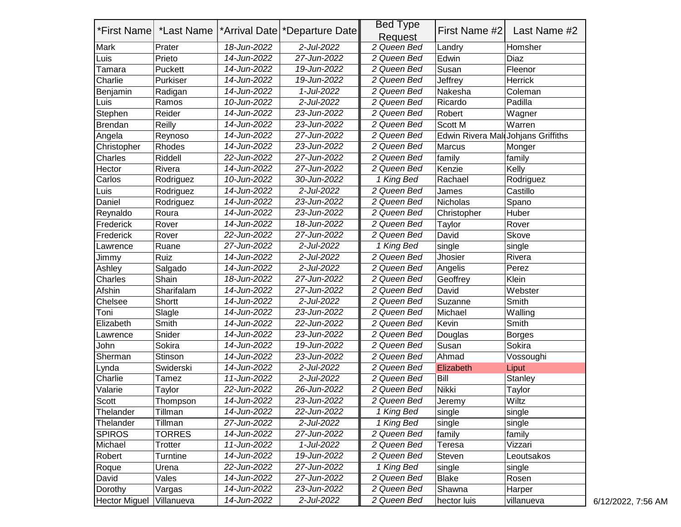|                      |                          |             |                                 | <b>Bed Type</b> |                                    |               |
|----------------------|--------------------------|-------------|---------------------------------|-----------------|------------------------------------|---------------|
|                      | *First Name   *Last Name |             | *Arrival Date   *Departure Date | Request         | First Name #2                      | Last Name #2  |
| <b>Mark</b>          | Prater                   | 18-Jun-2022 | 2-Jul-2022                      | 2 Queen Bed     | Landry                             | Homsher       |
| Luis                 | Prieto                   | 14-Jun-2022 | 27-Jun-2022                     | 2 Queen Bed     | Edwin                              | Diaz          |
| Tamara               | Puckett                  | 14-Jun-2022 | 19-Jun-2022                     | 2 Queen Bed     | Susan                              | Fleenor       |
| Charlie              | Purkiser                 | 14-Jun-2022 | 19-Jun-2022                     | 2 Queen Bed     | Jeffrey                            | Herrick       |
| Benjamin             | Radigan                  | 14-Jun-2022 | 1-Jul-2022                      | 2 Queen Bed     | Nakesha                            | Coleman       |
| Luis                 | Ramos                    | 10-Jun-2022 | 2-Jul-2022                      | 2 Queen Bed     | Ricardo                            | Padilla       |
| Stephen              | Reider                   | 14-Jun-2022 | 23-Jun-2022                     | 2 Queen Bed     | Robert                             | Wagner        |
| Brendan              | Reilly                   | 14-Jun-2022 | 23-Jun-2022                     | 2 Queen Bed     | Scott M                            | Warren        |
| Angela               | Reynoso                  | 14-Jun-2022 | 27-Jun-2022                     | 2 Queen Bed     | Edwin Rivera Mal Johjans Griffiths |               |
| Christopher          | Rhodes                   | 14-Jun-2022 | 23-Jun-2022                     | 2 Queen Bed     | <b>Marcus</b>                      | Monger        |
| Charles              | Riddell                  | 22-Jun-2022 | 27-Jun-2022                     | 2 Queen Bed     | family                             | family        |
| Hector               | Rivera                   | 14-Jun-2022 | 27-Jun-2022                     | 2 Queen Bed     | Kenzie                             | Kelly         |
| Carlos               | Rodriguez                | 10-Jun-2022 | 30-Jun-2022                     | 1 King Bed      | Rachael                            | Rodriguez     |
| Luis                 | Rodriguez                | 14-Jun-2022 | 2-Jul-2022                      | 2 Queen Bed     | James                              | Castillo      |
| Daniel               | Rodriguez                | 14-Jun-2022 | 23-Jun-2022                     | 2 Queen Bed     | Nicholas                           | Spano         |
| Reynaldo             | Roura                    | 14-Jun-2022 | 23-Jun-2022                     | 2 Queen Bed     | Christopher                        | Huber         |
| Frederick            | Rover                    | 14-Jun-2022 | 18-Jun-2022                     | 2 Queen Bed     | Taylor                             | Rover         |
| Frederick            | Rover                    | 22-Jun-2022 | 27-Jun-2022                     | 2 Queen Bed     | David                              | Skove         |
| Lawrence             | Ruane                    | 27-Jun-2022 | 2-Jul-2022                      | 1 King Bed      | single                             | single        |
| Jimmy                | Ruiz                     | 14-Jun-2022 | 2-Jul-2022                      | 2 Queen Bed     | Jhosier                            | Rivera        |
| Ashley               | Salgado                  | 14-Jun-2022 | 2-Jul-2022                      | 2 Queen Bed     | Angelis                            | Perez         |
| Charles              | Shain                    | 18-Jun-2022 | 27-Jun-2022                     | 2 Queen Bed     | Geoffrey                           | Klein         |
| Afshin               | Sharifalam               | 14-Jun-2022 | 27-Jun-2022                     | 2 Queen Bed     | David                              | Webster       |
| Chelsee              | Shortt                   | 14-Jun-2022 | 2-Jul-2022                      | 2 Queen Bed     | Suzanne                            | Smith         |
| Toni                 | Slagle                   | 14-Jun-2022 | 23-Jun-2022                     | 2 Queen Bed     | Michael                            | Walling       |
| Elizabeth            | Smith                    | 14-Jun-2022 | 22-Jun-2022                     | 2 Queen Bed     | Kevin                              | Smith         |
| Lawrence             | Snider                   | 14-Jun-2022 | 23-Jun-2022                     | 2 Queen Bed     | Douglas                            | <b>Borges</b> |
| John                 | Sokira                   | 14-Jun-2022 | 19-Jun-2022                     | 2 Queen Bed     | Susan                              | Sokira        |
| Sherman              | Stinson                  | 14-Jun-2022 | 23-Jun-2022                     | 2 Queen Bed     | Ahmad                              | Vossoughi     |
| Lynda                | Swiderski                | 14-Jun-2022 | 2-Jul-2022                      | 2 Queen Bed     | Elizabeth                          | Liput         |
| Charlie              | Tamez                    | 11-Jun-2022 | 2-Jul-2022                      | 2 Queen Bed     | Bill                               | Stanley       |
| Valarie              | Taylor                   | 22-Jun-2022 | 26-Jun-2022                     | 2 Queen Bed     | Nikki                              | Taylor        |
| Scott                | Thompson                 | 14-Jun-2022 | 23-Jun-2022                     | 2 Queen Bed     | Jeremy                             | Wiltz         |
| Thelander            | Tillman                  | 14-Jun-2022 | 22-Jun-2022                     | 1 King Bed      | single                             | single        |
| Thelander            | Tillman                  | 27-Jun-2022 | 2-Jul-2022                      | 1 King Bed      | single                             | single        |
| <b>SPIROS</b>        | <b>TORRES</b>            | 14-Jun-2022 | 27-Jun-2022                     | 2 Queen Bed     | family                             | family        |
| Michael              | <b>Trotter</b>           | 11-Jun-2022 | 1-Jul-2022                      | 2 Queen Bed     | Teresa                             | Vizzari       |
| Robert               | Turntine                 | 14-Jun-2022 | 19-Jun-2022                     | 2 Queen Bed     | Steven                             | Leoutsakos    |
| Roque                | Urena                    | 22-Jun-2022 | 27-Jun-2022                     | 1 King Bed      | single                             | single        |
| David                | Vales                    | 14-Jun-2022 | 27-Jun-2022                     | 2 Queen Bed     | <b>Blake</b>                       | Rosen         |
| Dorothy              | Vargas                   | 14-Jun-2022 | 23-Jun-2022                     | 2 Queen Bed     | Shawna                             | Harper        |
| <b>Hector Miguel</b> | Villanueva               | 14-Jun-2022 | 2-Jul-2022                      | 2 Queen Bed     | hector luis                        | villanueva    |